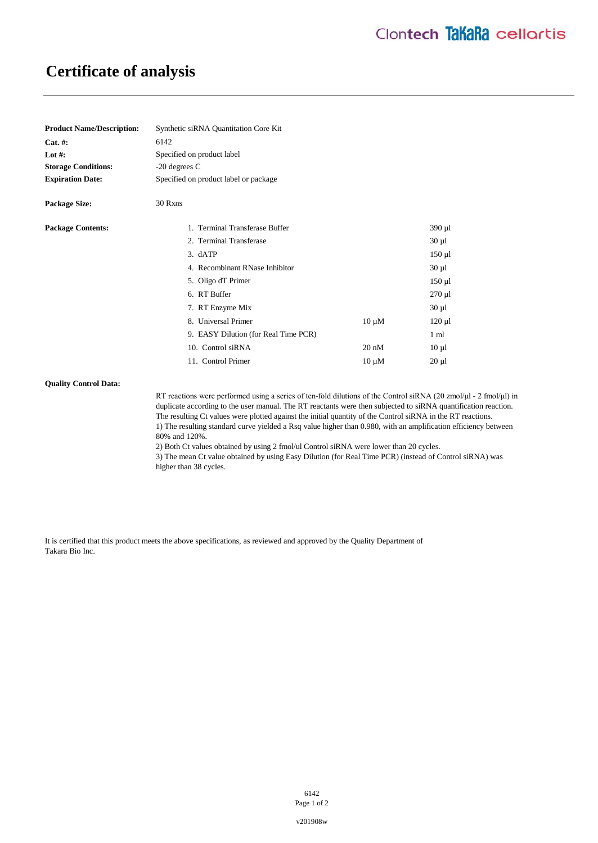# **Certificate of analysis**

| <b>Product Name/Description:</b> | Synthetic siRNA Quantitation Core Kit |                 |                |
|----------------------------------|---------------------------------------|-----------------|----------------|
| Cat. #:                          | 6142                                  |                 |                |
| Lot #:                           | Specified on product label            |                 |                |
| <b>Storage Conditions:</b>       | -20 degrees C                         |                 |                |
| <b>Expiration Date:</b>          | Specified on product label or package |                 |                |
| <b>Package Size:</b>             | 30 Rxns                               |                 |                |
| <b>Package Contents:</b>         | 1. Terminal Transferase Buffer        |                 | 390 µ1         |
|                                  | 2. Terminal Transferase               |                 | $30 \mu l$     |
|                                  | 3. dATP                               |                 | $150 \mu l$    |
|                                  | 4. Recombinant RNase Inhibitor        |                 | $30 \mu l$     |
|                                  | 5. Oligo dT Primer                    |                 | $150 \mu l$    |
|                                  | 6. RT Buffer                          |                 | $270 \mu l$    |
|                                  | 7. RT Enzyme Mix                      |                 | $30 \mu l$     |
|                                  | 8. Universal Primer                   | $10 \mu M$      | $120 \mu$      |
|                                  | 9. EASY Dilution (for Real Time PCR)  |                 | $1 \text{ ml}$ |
|                                  | 10. Control siRNA                     | $20 \text{ nM}$ | $10 \mu l$     |
|                                  | 11. Control Primer                    | $10 \mu M$      | $20 \mu l$     |

### **Quality Control Data:**

RT reactions were performed using a series of ten-fold dilutions of the Control siRNA (20 zmol/μl - 2 fmol/μl) in duplicate according to the user manual. The RT reactants were then subjected to siRNA quantification reaction. The resulting Ct values were plotted against the initial quantity of the Control siRNA in the RT reactions. 1) The resulting standard curve yielded a Rsq value higher than 0.980, with an amplification efficiency between 80% and 120%.

2) Both Ct values obtained by using 2 fmol/ul Control siRNA were lower than 20 cycles.

3) The mean Ct value obtained by using Easy Dilution (for Real Time PCR) (instead of Control siRNA) was higher than 38 cycles.

It is certified that this product meets the above specifications, as reviewed and approved by the Quality Department of Takara Bio Inc.

> 6142 Page 1 of 2

v201908w